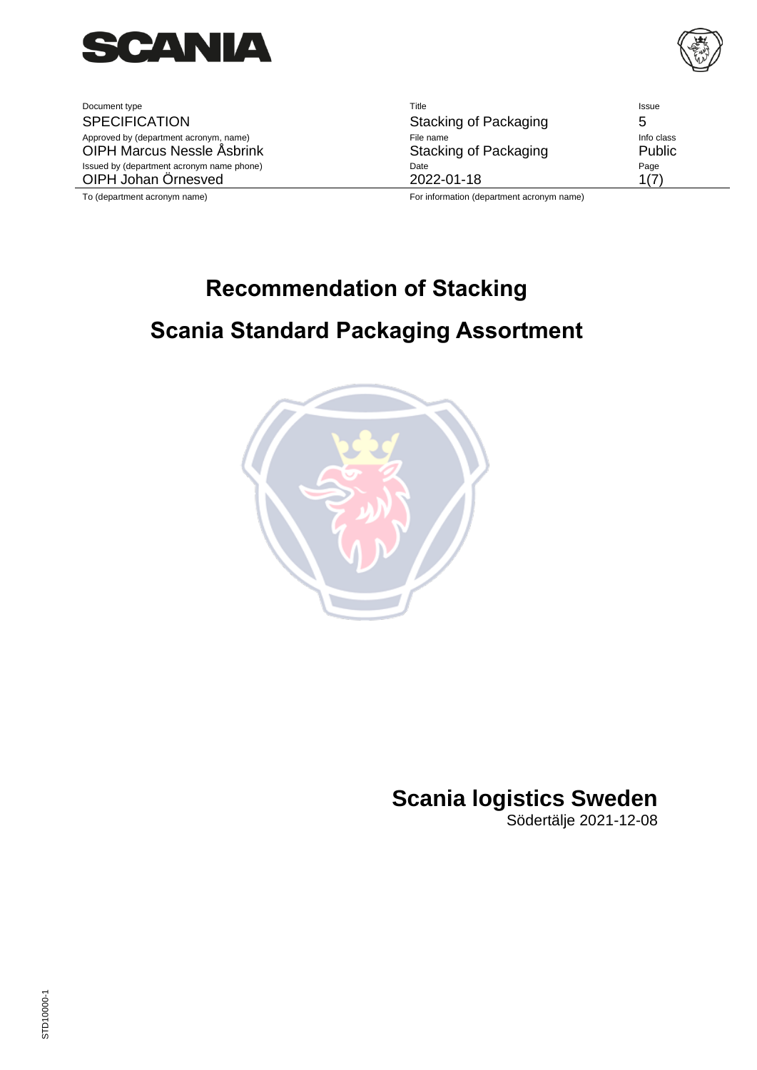

Document type **SPECIFICATION** Approved by (department acronym, name) OIPH Marcus Nessle Åsbrink Issued by (department acronym name phone) OIPH Johan Örnesved

| Title                                             | Issue      |
|---------------------------------------------------|------------|
| Stacking of Packaging                             | 5          |
| File name                                         | Info class |
| Stacking of Packaging                             | Public     |
| Date                                              | Page       |
| 2022-01-18                                        | 117        |
| $\Gamma$ ar information (denominant coronum nome) |            |

To (department acronym name) For information (department acronym name)

# **Recommendation of Stacking Scania Standard Packaging Assortment**



## **Scania logistics Sweden**

Södertälje 2021-12-08

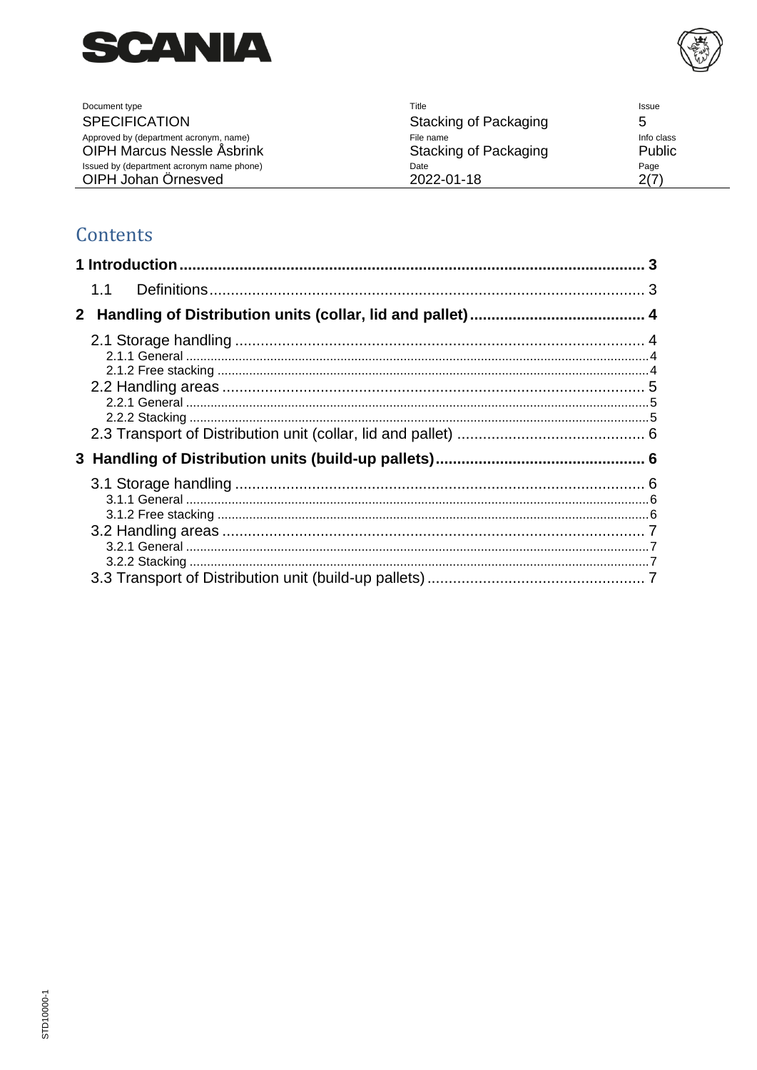



| Document type                             | Title                 | <b>Issue</b> |
|-------------------------------------------|-----------------------|--------------|
| <b>SPECIFICATION</b>                      | Stacking of Packaging |              |
| Approved by (department acronym, name)    | File name             | Info class   |
| <b>OIPH Marcus Nessle Asbrink</b>         | Stacking of Packaging | Public       |
| Issued by (department acronym name phone) | Date                  | Page         |
| OIPH Johan Örnesved                       | 2022-01-18            | 2(7)         |

## Contents

|     | 3 |
|-----|---|
| 1.1 |   |
|     |   |
|     |   |
|     |   |
|     |   |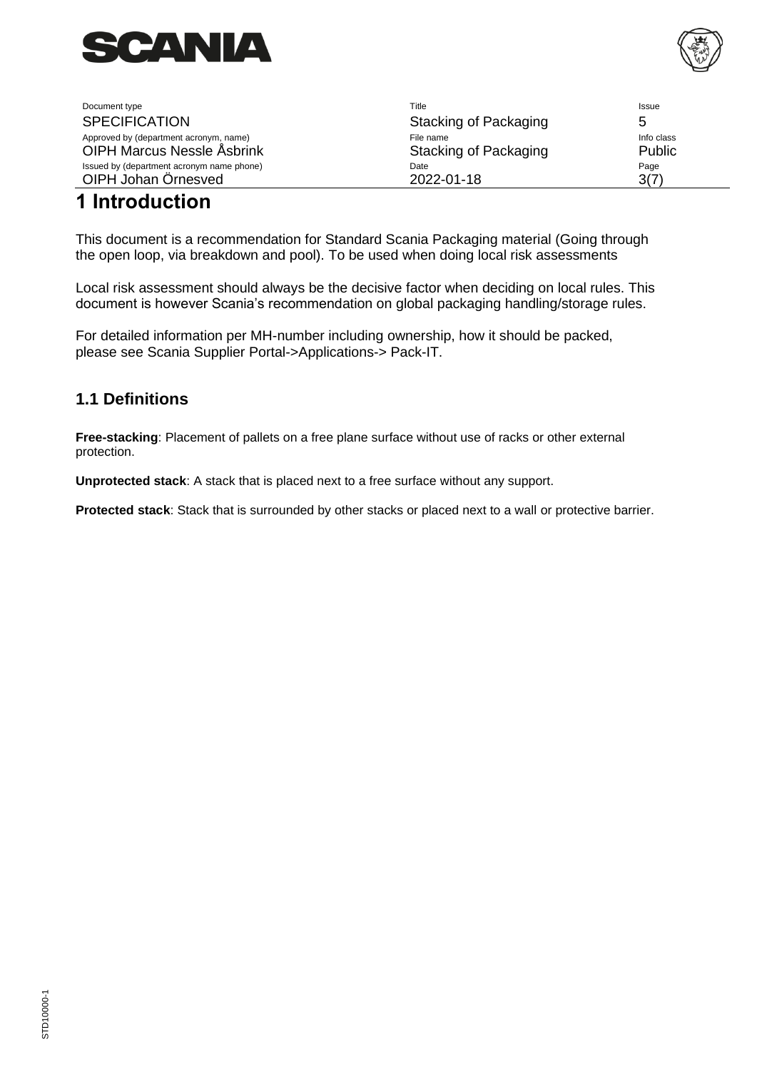



| Document type                             | Title                 | Issue      |
|-------------------------------------------|-----------------------|------------|
| <b>SPECIFICATION</b>                      | Stacking of Packaging | 5          |
| Approved by (department acronym, name)    | File name             | Info class |
| <b>OIPH Marcus Nessle Asbrink</b>         | Stacking of Packaging | Public     |
| Issued by (department acronym name phone) | Date                  | Page       |
| OIPH Johan Örnesved                       | 2022-01-18            | 3(7)       |

## <span id="page-2-0"></span>**1 Introduction**

This document is a recommendation for Standard Scania Packaging material (Going through the open loop, via breakdown and pool). To be used when doing local risk assessments

Local risk assessment should always be the decisive factor when deciding on local rules. This document is however Scania's recommendation on global packaging handling/storage rules.

For detailed information per MH-number including ownership, how it should be packed, please see Scania Supplier Portal->Applications-> Pack-IT.

### <span id="page-2-1"></span>**1.1 Definitions**

**Free-stacking**: Placement of pallets on a free plane surface without use of racks or other external protection.

**Unprotected stack**: A stack that is placed next to a free surface without any support.

**Protected stack**: Stack that is surrounded by other stacks or placed next to a wall or protective barrier.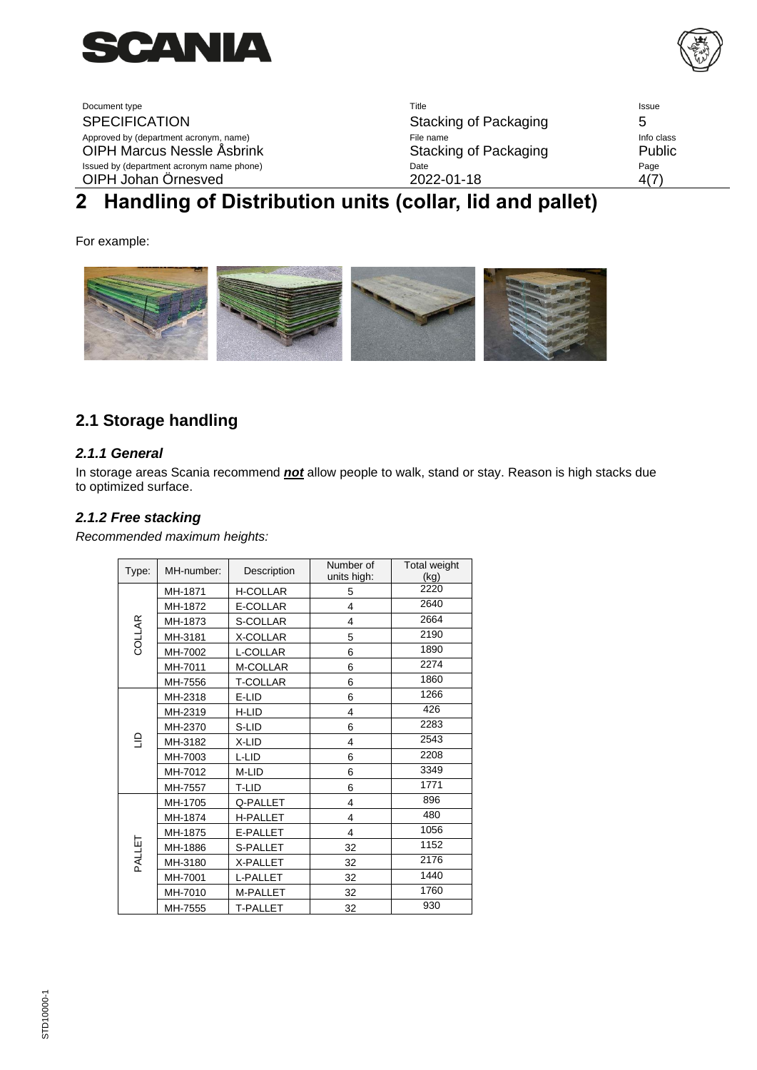

Document type **SPECIFICATION** Approved by (department acronym, name) OIPH Marcus Nessle Åsbrink Issued by (department acronym name phone) OIPH Johan Örnesved

| Stacking of Packaging | 5          |
|-----------------------|------------|
| File name             | Info class |
| Stacking of Packaging | Public     |
| Date<br>2022-01-18    | Page       |

## <span id="page-3-0"></span>**2 Handling of Distribution units (collar, lid and pallet)**

For example:



### <span id="page-3-1"></span>**2.1 Storage handling**

#### <span id="page-3-2"></span>*2.1.1 General*

In storage areas Scania recommend *not* allow people to walk, stand or stay. Reason is high stacks due to optimized surface.

#### <span id="page-3-3"></span>*2.1.2 Free stacking*

*Recommended maximum heights:*

| Type:  | MH-number: | Description     | Number of<br>units high: | Total weight<br>(kg) |
|--------|------------|-----------------|--------------------------|----------------------|
|        | MH-1871    | <b>H-COLLAR</b> | 5                        | 2220                 |
|        | MH-1872    | E-COLLAR        | $\overline{4}$           | 2640                 |
|        | MH-1873    | S-COLLAR        | 4                        | 2664                 |
| COLLAR | MH-3181    | X-COLLAR        | 5                        | 2190                 |
|        | MH-7002    | L-COLLAR        | 6                        | 1890                 |
|        | MH-7011    | M-COLLAR        | 6                        | 2274                 |
|        | MH-7556    | <b>T-COLLAR</b> | 6                        | 1860                 |
|        | MH-2318    | E-LID           | 6                        | 1266                 |
|        | MH-2319    | H-LID           | 4                        | 426                  |
| 읔      | MH-2370    | S-LID           | 6                        | 2283                 |
|        | MH-3182    | X-LID           | 4                        | 2543                 |
|        | MH-7003    | L-LID           | 6                        | 2208                 |
|        | MH-7012    | M-LID           | 6                        | 3349                 |
|        | MH-7557    | T-LID           | 6                        | 1771                 |
|        | MH-1705    | Q-PALLET        | 4                        | 896                  |
|        | MH-1874    | <b>H-PALLET</b> | 4                        | 480                  |
| PALLET | MH-1875    | E-PALLET        | 4                        | 1056                 |
|        | MH-1886    | S-PALLET        | 32                       | 1152                 |
|        | MH-3180    | X-PALLET        | 32                       | 2176                 |
|        | MH-7001    | L-PALLET        | 32                       | 1440                 |
|        | MH-7010    | M-PALLET        | 32                       | 1760                 |
|        | MH-7555    | <b>T-PALLET</b> | 32                       | 930                  |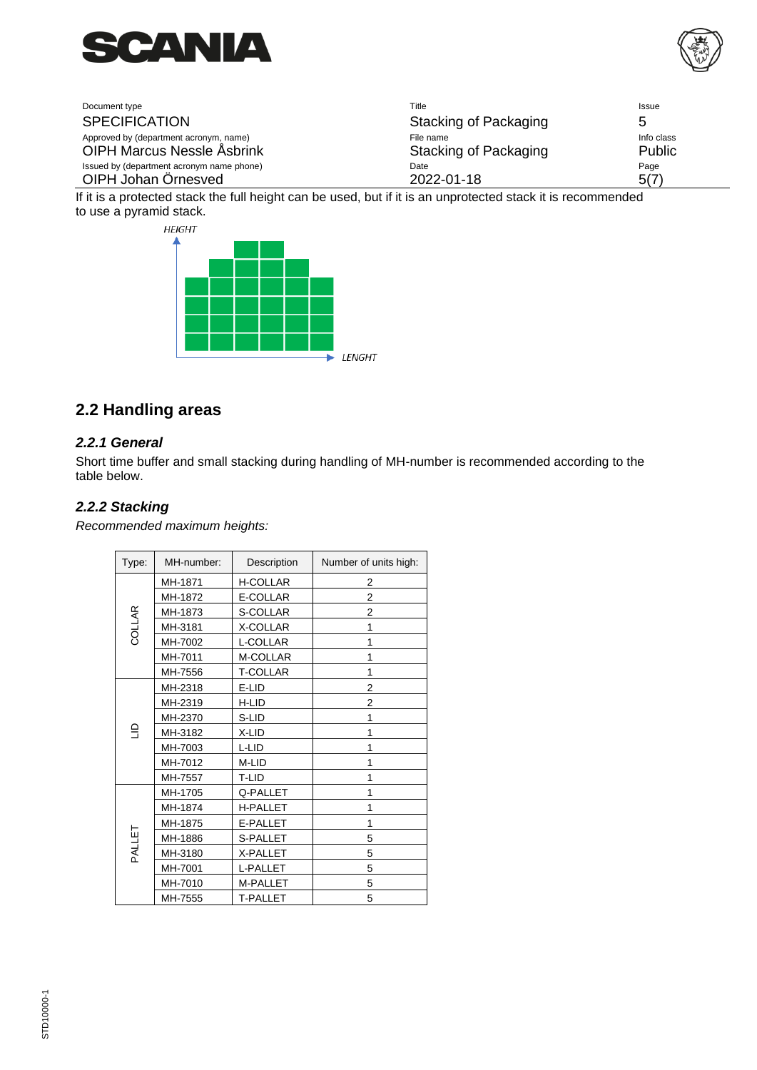



| Document type                             | Title                 | Issue      |
|-------------------------------------------|-----------------------|------------|
| <b>SPECIFICATION</b>                      | Stacking of Packaging |            |
| Approved by (department acronym, name)    | File name             | Info class |
| <b>OIPH Marcus Nessle Asbrink</b>         | Stacking of Packaging | Public     |
| Issued by (department acronym name phone) | Date                  | Page       |
| OIPH Johan Örnesved                       | 2022-01-18            | 5(7)       |

If it is a protected stack the full height can be used, but if it is an unprotected stack it is recommended to use a pyramid stack.



### <span id="page-4-0"></span>**2.2 Handling areas**

#### <span id="page-4-1"></span>*2.2.1 General*

Short time buffer and small stacking during handling of MH-number is recommended according to the table below.

#### <span id="page-4-2"></span>*2.2.2 Stacking*

*Recommended maximum heights:*

| Type:  | MH-number: | Description     | Number of units high: |
|--------|------------|-----------------|-----------------------|
|        | MH-1871    | <b>H-COLLAR</b> | 2                     |
|        | MH-1872    | E-COLLAR        | $\overline{2}$        |
|        | MH-1873    | S-COLLAR        | 2                     |
| COLLAR | MH-3181    | X-COLLAR        | 1                     |
|        | MH-7002    | L-COLLAR        | 1                     |
|        | MH-7011    | M-COLLAR        | 1                     |
|        | MH-7556    | <b>T-COLLAR</b> | 1                     |
|        | MH-2318    | E-LID           | 2                     |
|        | MH-2319    | H-LID           | 2                     |
|        | MH-2370    | S-LID           | 1                     |
| e      | MH-3182    | X-LID           | 1                     |
|        | MH-7003    | L-LID           | 1                     |
|        | MH-7012    | M-LID           | 1                     |
|        | MH-7557    | T-LID           | 1                     |
|        | MH-1705    | Q-PALLET        | 1                     |
|        | MH-1874    | <b>H-PALLET</b> | 1                     |
|        | MH-1875    | E-PALLET        | 1                     |
| PALLET | MH-1886    | S-PALLET        | 5                     |
|        | MH-3180    | X-PALLET        | 5                     |
|        | MH-7001    | L-PALLET        | 5                     |
|        | MH-7010    | M-PALLET        | 5                     |
|        | MH-7555    | <b>T-PALLET</b> | 5                     |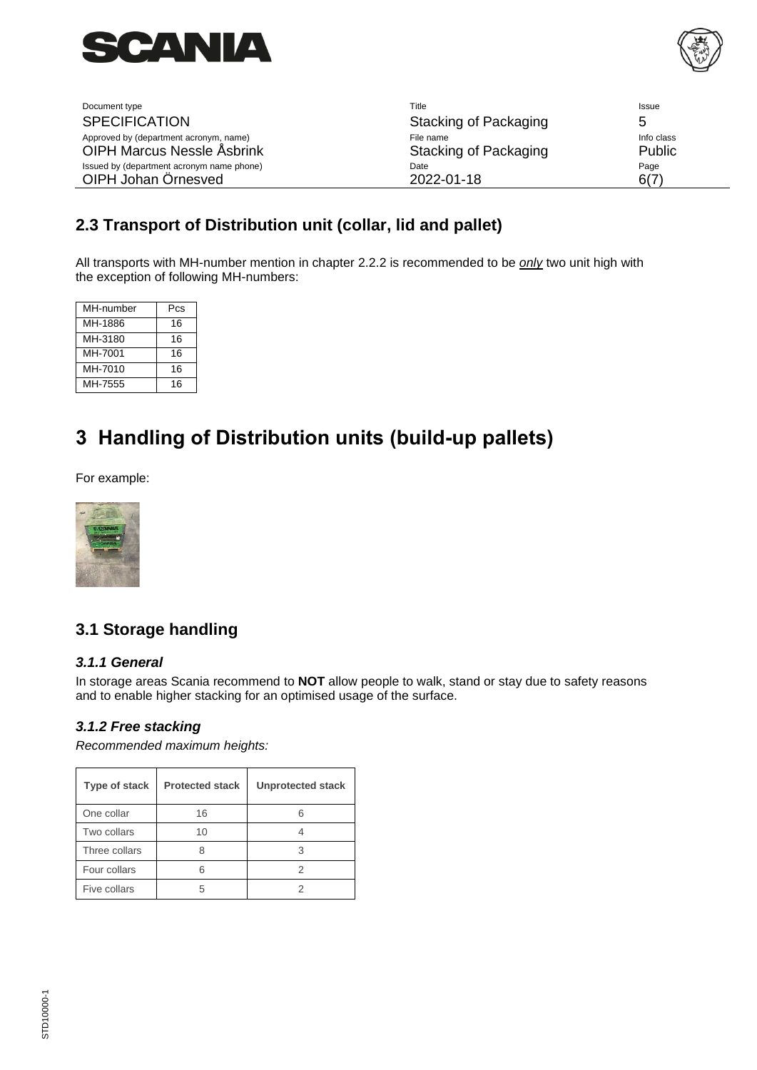



| Document type                             | Title                 | <b>Issue</b> |
|-------------------------------------------|-----------------------|--------------|
| <b>SPECIFICATION</b>                      | Stacking of Packaging | h            |
| Approved by (department acronym, name)    | File name             | Info class   |
| <b>OIPH Marcus Nessle Asbrink</b>         | Stacking of Packaging | Public       |
| Issued by (department acronym name phone) | Date                  | Page         |
| OIPH Johan Örnesved                       | 2022-01-18            | 6(7)         |

### <span id="page-5-0"></span>**2.3 Transport of Distribution unit (collar, lid and pallet)**

All transports with MH-number mention in chapter 2.2.2 is recommended to be *only* two unit high with the exception of following MH-numbers:

| MH-number | Pcs |
|-----------|-----|
| MH-1886   | 16  |
| MH-3180   | 16  |
| MH-7001   | 16  |
| MH-7010   | 16  |
| MH-7555   | 16  |

## <span id="page-5-1"></span>**3 Handling of Distribution units (build-up pallets)**

For example:



## <span id="page-5-2"></span>**3.1 Storage handling**

#### <span id="page-5-3"></span>*3.1.1 General*

In storage areas Scania recommend to **NOT** allow people to walk, stand or stay due to safety reasons and to enable higher stacking for an optimised usage of the surface.

#### <span id="page-5-4"></span>*3.1.2 Free stacking*

*Recommended maximum heights:*

| Type of stack | <b>Protected stack</b> | <b>Unprotected stack</b> |
|---------------|------------------------|--------------------------|
| One collar    | 16                     |                          |
| Two collars   | 10                     |                          |
| Three collars |                        | 3                        |
| Four collars  |                        | 2                        |
| Five collars  |                        |                          |